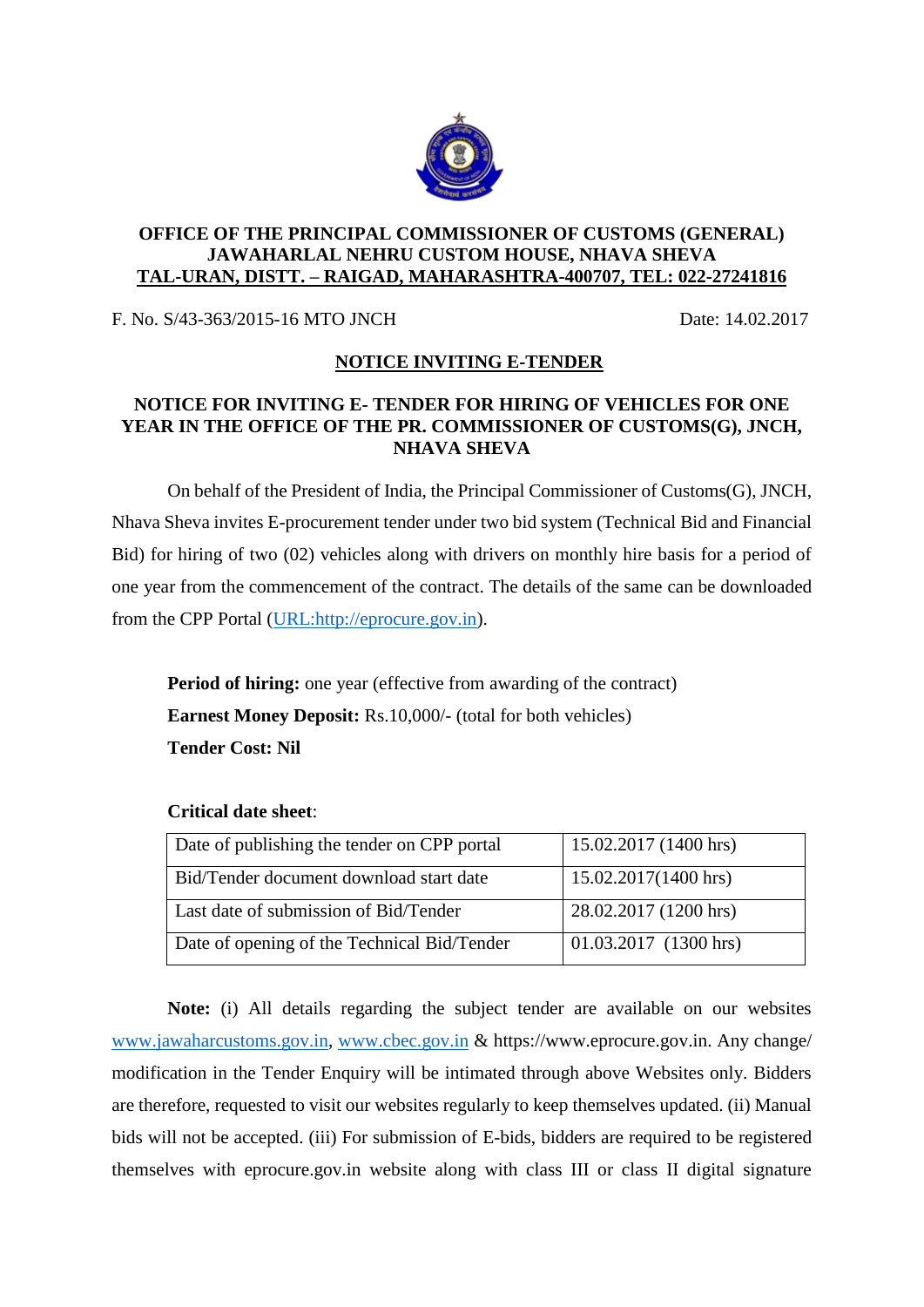

### **OFFICE OF THE PRINCIPAL COMMISSIONER OF CUSTOMS (GENERAL) JAWAHARLAL NEHRU CUSTOM HOUSE, NHAVA SHEVA TAL-URAN, DISTT. – RAIGAD, MAHARASHTRA-400707, TEL: 022-27241816**

F. No. S/43-363/2015-16 MTO JNCH Date: 14.02.2017

## **NOTICE INVITING E-TENDER**

## **NOTICE FOR INVITING E- TENDER FOR HIRING OF VEHICLES FOR ONE YEAR IN THE OFFICE OF THE PR. COMMISSIONER OF CUSTOMS(G), JNCH, NHAVA SHEVA**

On behalf of the President of India, the Principal Commissioner of Customs(G), JNCH, Nhava Sheva invites E-procurement tender under two bid system (Technical Bid and Financial Bid) for hiring of two (02) vehicles along with drivers on monthly hire basis for a period of one year from the commencement of the contract. The details of the same can be downloaded from the CPP Portal [\(URL:http://eprocure.gov.in\)](http://eprocure.gov.in/).

**Period of hiring:** one year (effective from awarding of the contract) **Earnest Money Deposit:** Rs.10,000/- (total for both vehicles) **Tender Cost: Nil**

| Date of publishing the tender on CPP portal | 15.02.2017 (1400 hrs)          |
|---------------------------------------------|--------------------------------|
| Bid/Tender document download start date     | $15.02.2017(1400 \text{ hrs})$ |
| Last date of submission of Bid/Tender       | 28.02.2017 (1200 hrs)          |
| Date of opening of the Technical Bid/Tender | 01.03.2017 (1300 hrs)          |

## **Critical date sheet**:

**Note:** (i) All details regarding the subject tender are available on our websites [www.jawaharcustoms.gov.in,](http://www.jawaharcustoms.gov.in/) [www.cbec.gov.in](http://www.cbec.gov.in/) & https://www.eprocure.gov.in. Any change/ modification in the Tender Enquiry will be intimated through above Websites only. Bidders are therefore, requested to visit our websites regularly to keep themselves updated. (ii) Manual bids will not be accepted. (iii) For submission of E-bids, bidders are required to be registered themselves with eprocure.gov.in website along with class III or class II digital signature